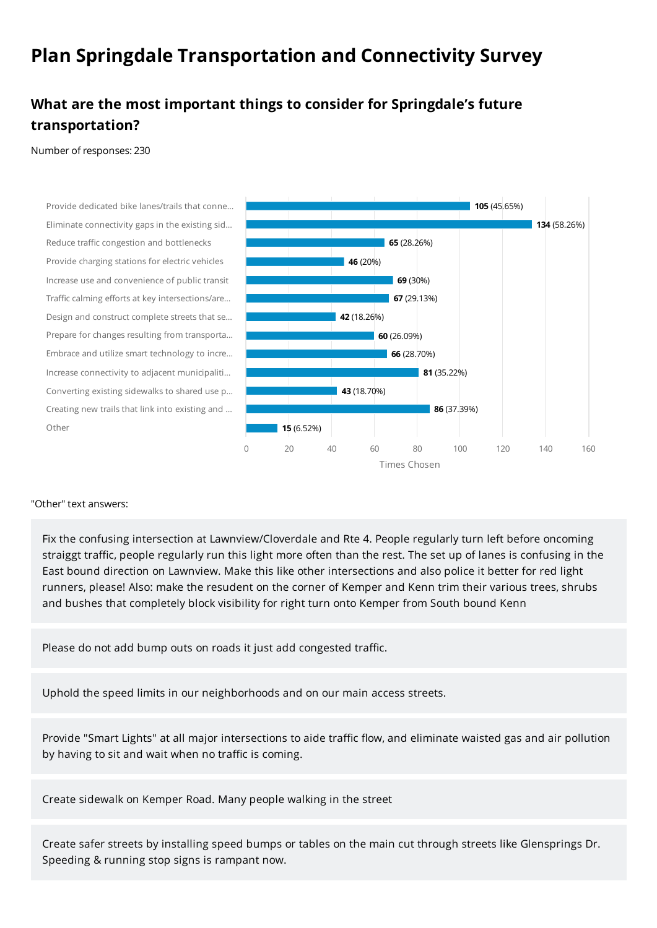# **Plan Springdale Transportation and Connectivity Survey**

## **What are the most important things to consider for Springdale's future transportation?**

Number of responses: 230

Provide dedicated bike lanes/trails that conne… Eliminate connectivity gaps in the existing sid… Reduce traffic congestion and bottlenecks Provide charging stations for electric vehicles Increase use and convenience of public transit Traffic calming efforts at key intersections/are… Design and construct complete streets that se… Prepare for changes resulting from transporta… Embrace and utilize smart technology to incre… Increase connectivity to adjacent municipaliti… Converting existing sidewalks to shared use p… Creating new trails that link into existing and … Other



#### "Other" text answers:

Fix the confusing intersection at Lawnview/Cloverdale and Rte 4. People regularly turn left before oncoming straiggt traffic, people regularly run this light more often than the rest. The set up of lanes is confusing in the East bound direction on Lawnview. Make this like other intersections and also police it better for red light runners, please! Also: make the resudent on the corner of Kemper and Kenn trim their various trees, shrubs and bushes that completely block visibility for right turn onto Kemper from South bound Kenn

Please do not add bump outs on roads it just add congested traffic.

Uphold the speed limits in our neighborhoods and on our main access streets.

Provide "Smart Lights" at all major intersections to aide traffic flow, and eliminate waisted gas and air pollution by having to sit and wait when no traffic is coming.

Create sidewalk on Kemper Road. Many people walking in the street

Create safer streets by installing speed bumps or tables on the main cut through streets like Glensprings Dr. Speeding & running stop signs is rampant now.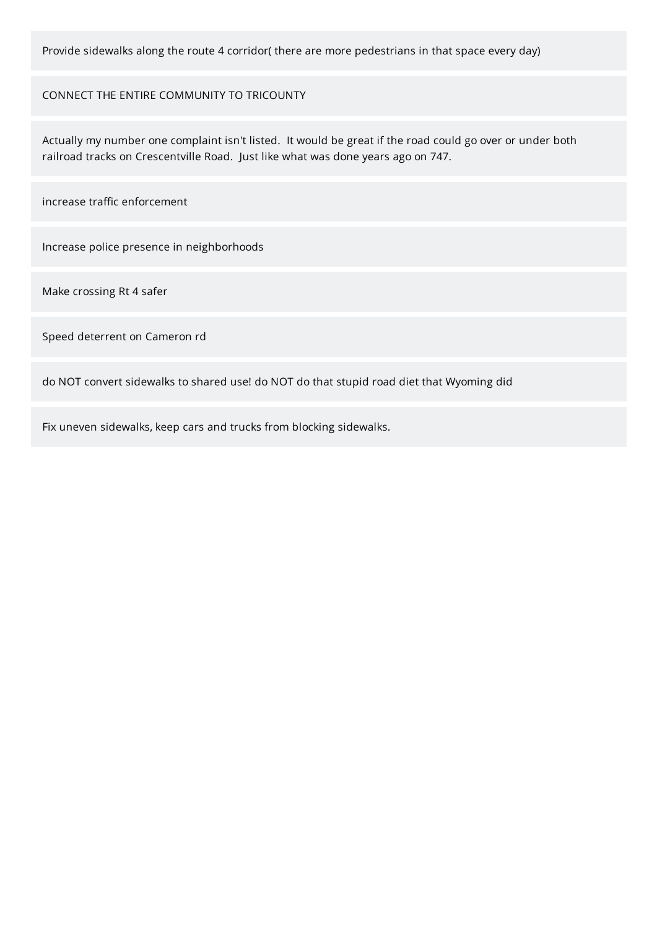Provide sidewalks along the route 4 corridor( there are more pedestrians in that space every day)

CONNECT THE ENTIRE COMMUNITY TO TRICOUNTY

Actually my number one complaint isn't listed. It would be great if the road could go over or under both railroad tracks on Crescentville Road. Just like what was done years ago on 747.

increase traffic enforcement

Increase police presence in neighborhoods

Make crossing Rt 4 safer

Speed deterrent on Cameron rd

do NOT convert sidewalks to shared use! do NOT do that stupid road diet that Wyoming did

Fix uneven sidewalks, keep cars and trucks from blocking sidewalks.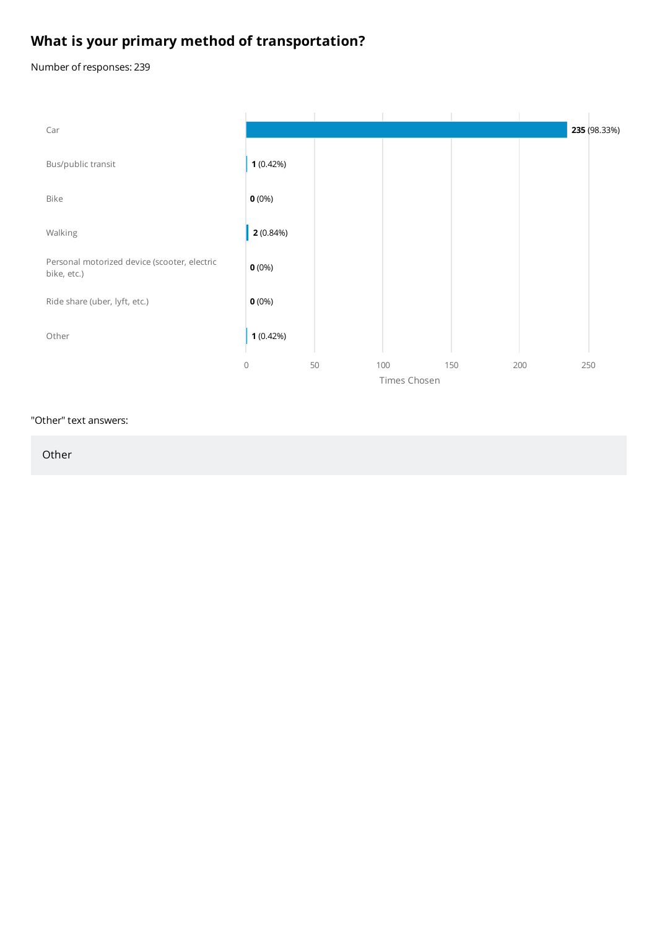# **What is your primary method of transportation?**

Number of responses: 239



#### "Other" text answers:

Other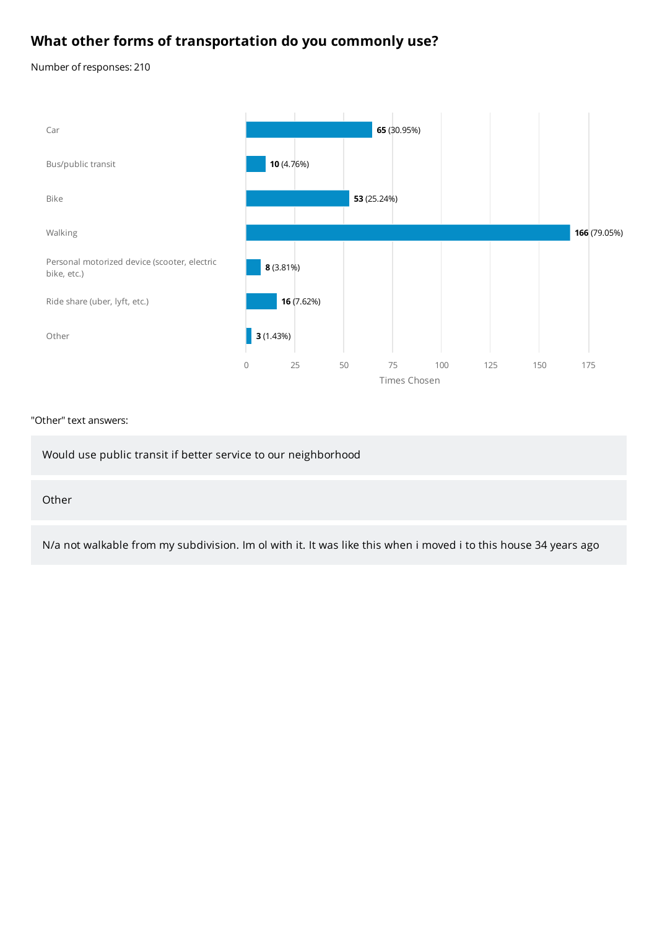### **What other forms of transportation do you commonly use?**

Number of responses: 210



#### "Other" text answers:

Would use public transit if better service to our neighborhood

#### Other

N/a not walkable from my subdivision. Im ol with it. It was like this when i moved i to this house 34 years ago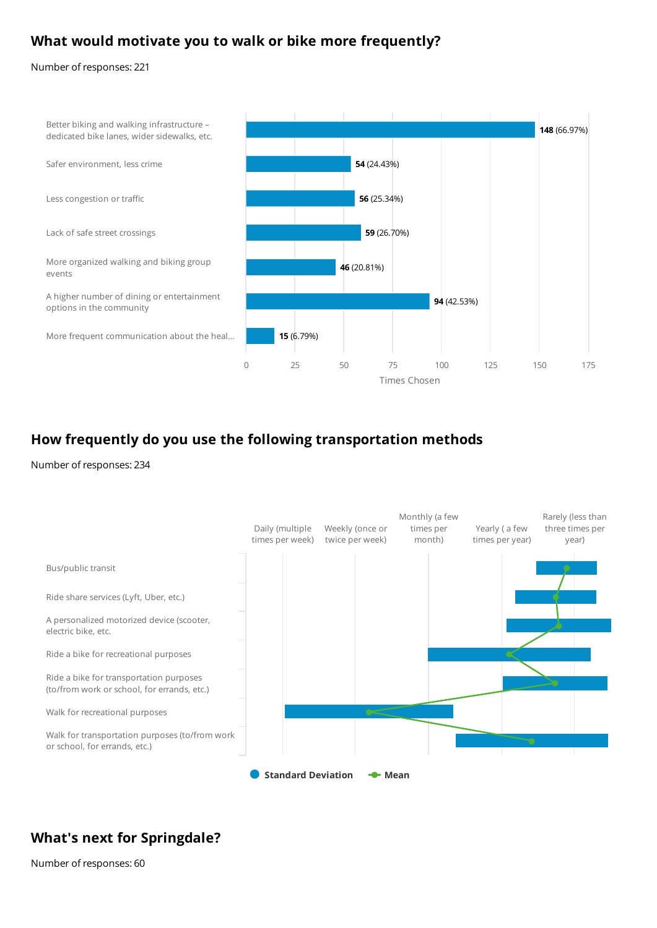### **What would motivate you to walk or bike more frequently?**

Number of responses: 221



### **How frequently do you use the following transportation methods**

Number of responses: 234



### **What's next for Springdale?**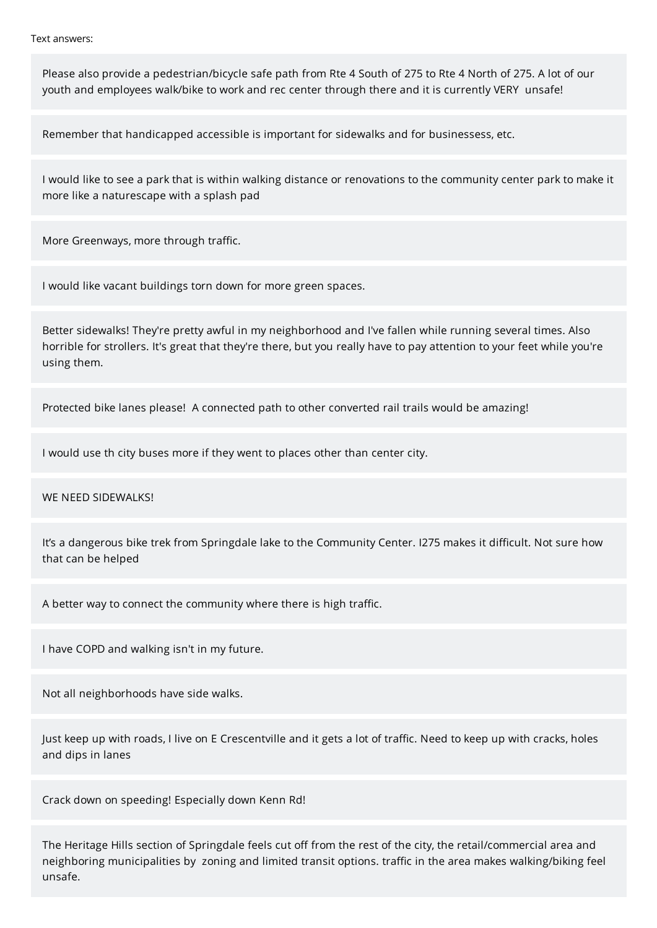Text answers:

Please also provide a pedestrian/bicycle safe path from Rte 4 South of 275 to Rte 4 North of 275. A lot of our youth and employees walk/bike to work and rec center through there and it is currently VERY unsafe!

Remember that handicapped accessible is important for sidewalks and for businessess, etc.

I would like to see a park that is within walking distance or renovations to the community center park to make it more like a naturescape with a splash pad

More Greenways, more through traffic.

I would like vacant buildings torn down for more green spaces.

Better sidewalks! They're pretty awful in my neighborhood and I've fallen while running several times. Also horrible for strollers. It's great that they're there, but you really have to pay attention to your feet while you're using them.

Protected bike lanes please! A connected path to other converted rail trails would be amazing!

I would use th city buses more if they went to places other than center city.

WE NEED SIDEWALKS!

It's a dangerous bike trek from Springdale lake to the Community Center. I275 makes it difficult. Not sure how that can be helped

A better way to connect the community where there is high traffic.

I have COPD and walking isn't in my future.

Not all neighborhoods have side walks.

Just keep up with roads, I live on E Crescentville and it gets a lot of traffic. Need to keep up with cracks, holes and dips in lanes

Crack down on speeding! Especially down Kenn Rd!

The Heritage Hills section of Springdale feels cut off from the rest of the city, the retail/commercial area and neighboring municipalities by zoning and limited transit options. traffic in the area makes walking/biking feel unsafe.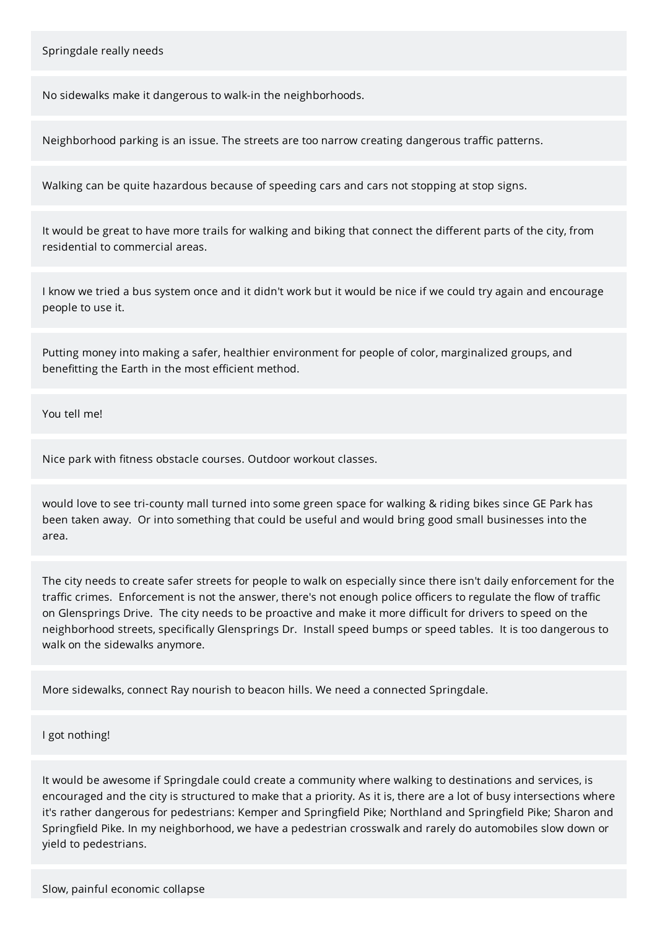No sidewalks make it dangerous to walk-in the neighborhoods.

Neighborhood parking is an issue. The streets are too narrow creating dangerous traffic patterns.

Walking can be quite hazardous because of speeding cars and cars not stopping at stop signs.

It would be great to have more trails for walking and biking that connect the different parts of the city, from residential to commercial areas.

I know we tried a bus system once and it didn't work but it would be nice if we could try again and encourage people to use it.

Putting money into making a safer, healthier environment for people of color, marginalized groups, and benefitting the Earth in the most efficient method.

You tell me!

Nice park with fitness obstacle courses. Outdoor workout classes.

would love to see tri-county mall turned into some green space for walking & riding bikes since GE Park has been taken away. Or into something that could be useful and would bring good small businesses into the area.

The city needs to create safer streets for people to walk on especially since there isn't daily enforcement for the traffic crimes. Enforcement is not the answer, there's not enough police officers to regulate the flow of traffic on Glensprings Drive. The city needs to be proactive and make it more difficult for drivers to speed on the neighborhood streets, specifically Glensprings Dr. Install speed bumps or speed tables. It is too dangerous to walk on the sidewalks anymore.

More sidewalks, connect Ray nourish to beacon hills. We need a connected Springdale.

I got nothing!

It would be awesome if Springdale could create a community where walking to destinations and services, is encouraged and the city is structured to make that a priority. As it is, there are a lot of busy intersections where it's rather dangerous for pedestrians: Kemper and Springfield Pike; Northland and Springfield Pike; Sharon and Springfield Pike. In my neighborhood, we have a pedestrian crosswalk and rarely do automobiles slow down or yield to pedestrians.

Slow, painful economic collapse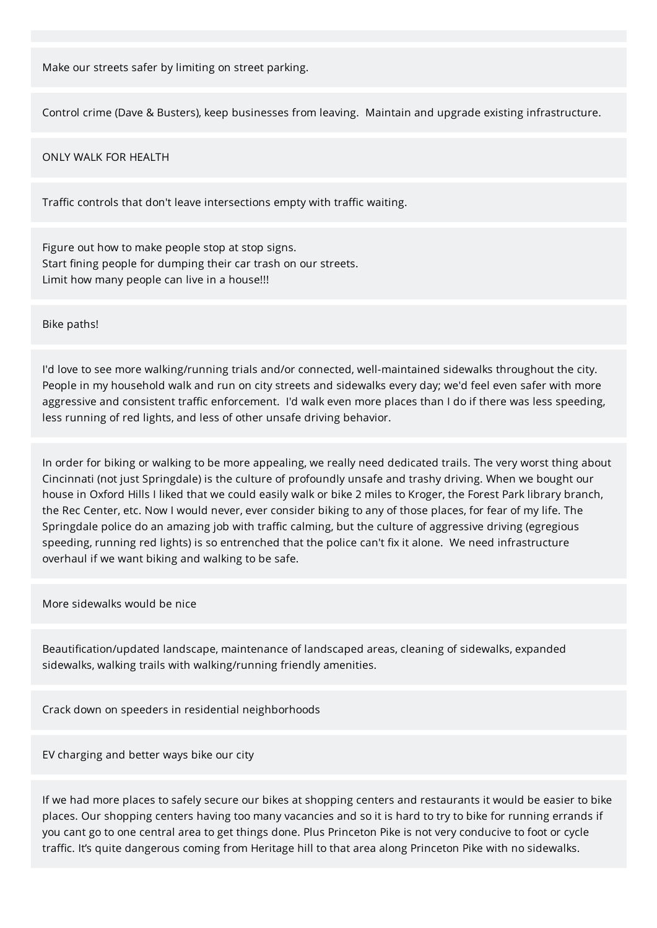Make our streets safer by limiting on street parking.

Control crime (Dave & Busters), keep businesses from leaving. Maintain and upgrade existing infrastructure.

#### ONLY WALK FOR HEALTH

Traffic controls that don't leave intersections empty with traffic waiting.

Figure out how to make people stop at stop signs. Start fining people for dumping their car trash on our streets. Limit how many people can live in a house!!!

Bike paths!

I'd love to see more walking/running trials and/or connected, well-maintained sidewalks throughout the city. People in my household walk and run on city streets and sidewalks every day; we'd feel even safer with more aggressive and consistent traffic enforcement. I'd walk even more places than I do if there was less speeding, less running of red lights, and less of other unsafe driving behavior.

In order for biking or walking to be more appealing, we really need dedicated trails. The very worst thing about Cincinnati (not just Springdale) is the culture of profoundly unsafe and trashy driving. When we bought our house in Oxford Hills I liked that we could easily walk or bike 2 miles to Kroger, the Forest Park library branch, the Rec Center, etc. Now I would never, ever consider biking to any of those places, for fear of my life. The Springdale police do an amazing job with traffic calming, but the culture of aggressive driving (egregious speeding, running red lights) is so entrenched that the police can't fix it alone. We need infrastructure overhaul if we want biking and walking to be safe.

More sidewalks would be nice

Beautification/updated landscape, maintenance of landscaped areas, cleaning of sidewalks, expanded sidewalks, walking trails with walking/running friendly amenities.

Crack down on speeders in residential neighborhoods

EV charging and better ways bike our city

If we had more places to safely secure our bikes at shopping centers and restaurants it would be easier to bike places. Our shopping centers having too many vacancies and so it is hard to try to bike for running errands if you cant go to one central area to get things done. Plus Princeton Pike is not very conducive to foot or cycle traffic. It's quite dangerous coming from Heritage hill to that area along Princeton Pike with no sidewalks.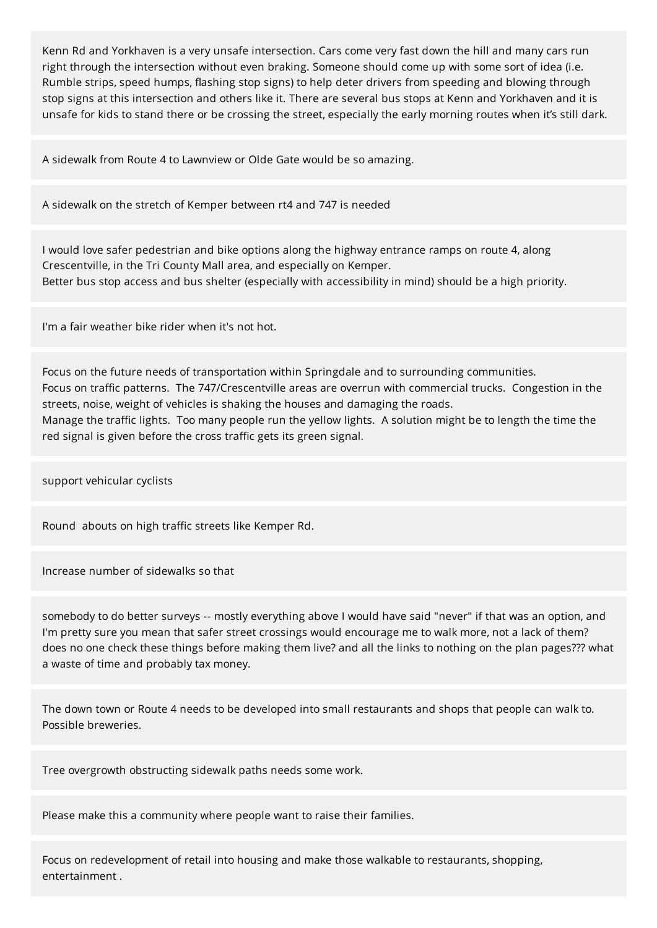Kenn Rd and Yorkhaven is a very unsafe intersection. Cars come very fast down the hill and many cars run right through the intersection without even braking. Someone should come up with some sort of idea (i.e. Rumble strips, speed humps, flashing stop signs) to help deter drivers from speeding and blowing through stop signs at this intersection and others like it. There are several bus stops at Kenn and Yorkhaven and it is unsafe for kids to stand there or be crossing the street, especially the early morning routes when it's still dark.

A sidewalk from Route 4 to Lawnview or Olde Gate would be so amazing.

A sidewalk on the stretch of Kemper between rt4 and 747 is needed

I would love safer pedestrian and bike options along the highway entrance ramps on route 4, along Crescentville, in the Tri County Mall area, and especially on Kemper. Better bus stop access and bus shelter (especially with accessibility in mind) should be a high priority.

I'm a fair weather bike rider when it's not hot.

Focus on the future needs of transportation within Springdale and to surrounding communities. Focus on traffic patterns. The 747/Crescentville areas are overrun with commercial trucks. Congestion in the streets, noise, weight of vehicles is shaking the houses and damaging the roads. Manage the traffic lights. Too many people run the yellow lights. A solution might be to length the time the red signal is given before the cross traffic gets its green signal.

support vehicular cyclists

Round abouts on high traffic streets like Kemper Rd.

Increase number of sidewalks so that

somebody to do better surveys -- mostly everything above I would have said "never" if that was an option, and I'm pretty sure you mean that safer street crossings would encourage me to walk more, not a lack of them? does no one check these things before making them live? and all the links to nothing on the plan pages??? what a waste of time and probably tax money.

The down town or Route 4 needs to be developed into small restaurants and shops that people can walk to. Possible breweries.

Tree overgrowth obstructing sidewalk paths needs some work.

Please make this a community where people want to raise their families.

Focus on redevelopment of retail into housing and make those walkable to restaurants, shopping, entertainment .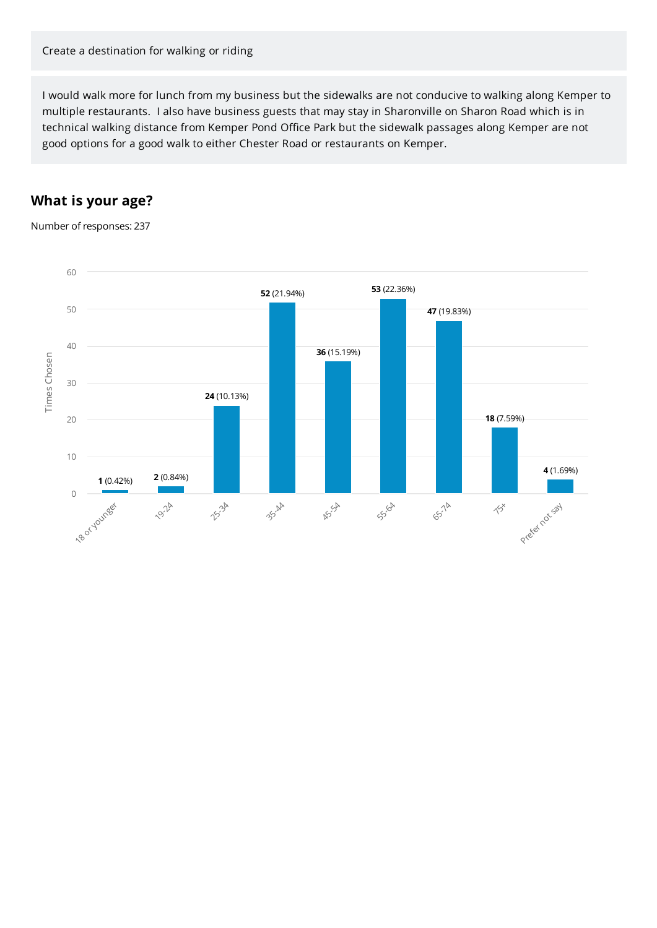I would walk more for lunch from my business but the sidewalks are not conducive to walking along Kemper to multiple restaurants. I also have business guests that may stay in Sharonville on Sharon Road which is in technical walking distance from Kemper Pond Office Park but the sidewalk passages along Kemper are not good options for a good walk to either Chester Road or restaurants on Kemper.

### **What is your age?**

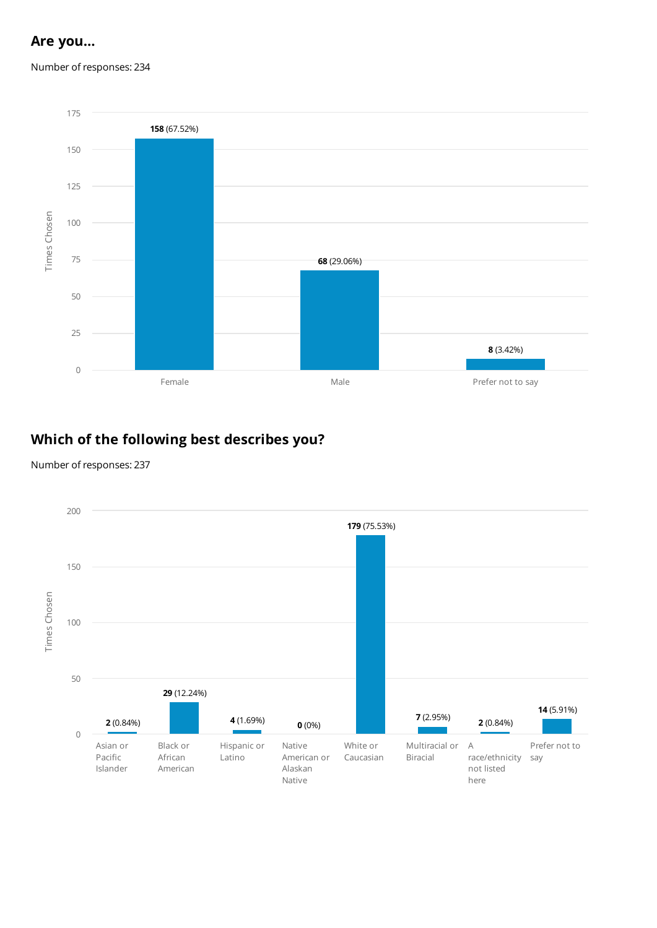### **Are you...**

Number of responses: 234



## **Which of the following best describes you?**

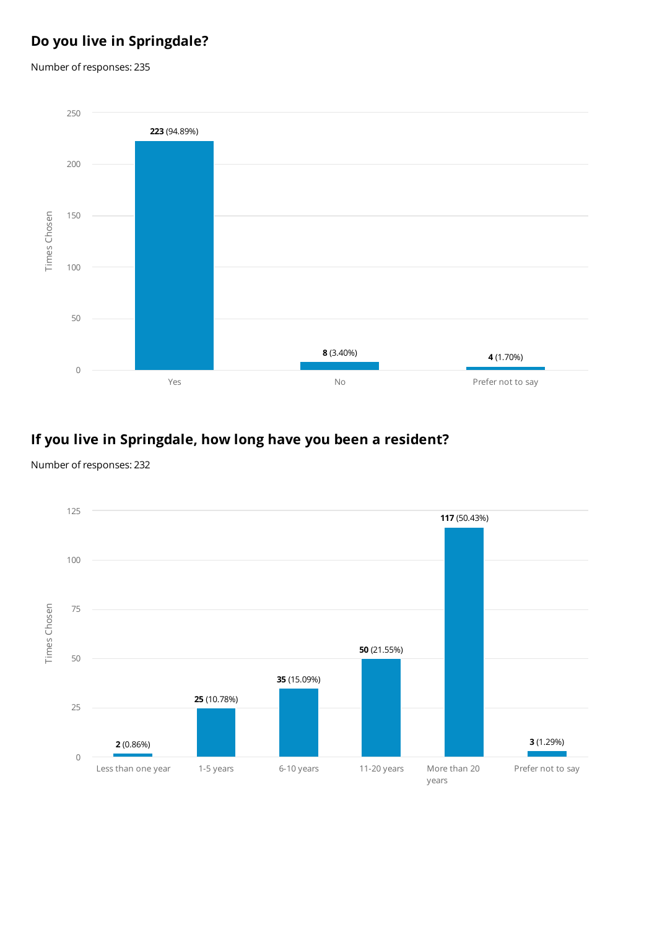# **Do you live in Springdale?**

Number of responses: 235



## **If you live in Springdale, how long have you been a resident?**